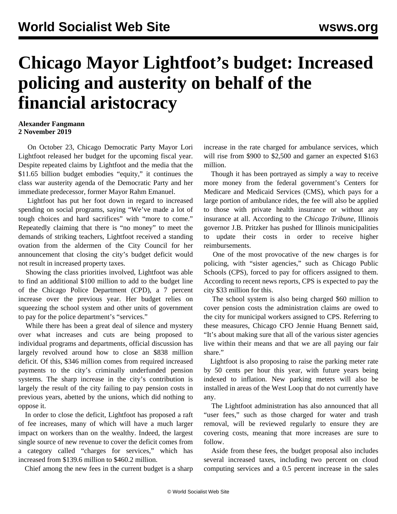## **Chicago Mayor Lightfoot's budget: Increased policing and austerity on behalf of the financial aristocracy**

## **Alexander Fangmann 2 November 2019**

 On October 23, Chicago Democratic Party Mayor Lori Lightfoot released her budget for the upcoming fiscal year. Despite repeated claims by Lightfoot and the media that the \$11.65 billion budget embodies "equity," it continues the class war austerity agenda of the Democratic Party and her immediate predecessor, former Mayor Rahm Emanuel.

 Lightfoot has put her foot down in regard to increased spending on social programs, saying "We've made a lot of tough choices and hard sacrifices" with "more to come." Repeatedly claiming that there is "no money" to meet the demands of striking teachers, Lightfoot received a standing ovation from the aldermen of the City Council for her announcement that closing the city's budget deficit would not result in increased property taxes.

 Showing the class priorities involved, Lightfoot was able to find an additional \$100 million to add to the budget line of the Chicago Police Department (CPD), a 7 percent increase over the previous year. Her budget relies on squeezing the school system and other units of government to pay for the police department's "services."

 While there has been a great deal of silence and mystery over what increases and cuts are being proposed to individual programs and departments, official discussion has largely revolved around how to close an \$838 million deficit. Of this, \$346 million comes from required increased payments to the city's criminally underfunded pension systems. The sharp increase in the city's contribution is largely the result of the city failing to pay pension costs in previous years, abetted by the unions, which did nothing to oppose it.

 In order to close the deficit, Lightfoot has proposed a raft of fee increases, many of which will have a much larger impact on workers than on the wealthy. Indeed, the largest single source of new revenue to cover the deficit comes from a category called "charges for services," which has increased from \$139.6 million to \$460.2 million.

Chief among the new fees in the current budget is a sharp

increase in the rate charged for ambulance services, which will rise from \$900 to \$2,500 and garner an expected \$163 million.

 Though it has been portrayed as simply a way to receive more money from the federal government's Centers for Medicare and Medicaid Services (CMS), which pays for a large portion of ambulance rides, the fee will also be applied to those with private health insurance or without any insurance at all. According to the *Chicago Tribune*, Illinois governor J.B. Pritzker has pushed for Illinois municipalities to update their costs in order to receive higher reimbursements.

 One of the most provocative of the new charges is for policing, with "sister agencies," such as Chicago Public Schools (CPS), forced to pay for officers assigned to them. According to recent news reports, CPS is expected to pay the city \$33 million for this.

 The school system is also being charged \$60 million to cover pension costs the administration claims are owed to the city for municipal workers assigned to CPS. Referring to these measures, Chicago CFO Jennie Huang Bennett said, "It's about making sure that all of the various sister agencies live within their means and that we are all paying our fair share."

 Lightfoot is also proposing to raise the parking meter rate by 50 cents per hour this year, with future years being indexed to inflation. New parking meters will also be installed in areas of the West Loop that do not currently have any.

 The Lightfoot administration has also announced that all "user fees," such as those charged for water and trash removal, will be reviewed regularly to ensure they are covering costs, meaning that more increases are sure to follow.

 Aside from these fees, the budget proposal also includes several increased taxes, including two percent on cloud computing services and a 0.5 percent increase in the sales